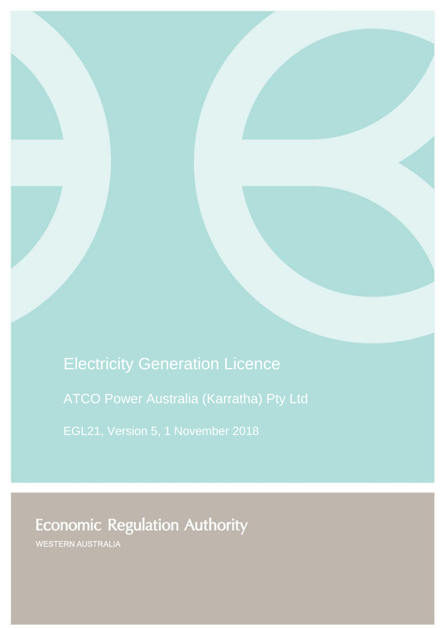Electricity Generation Licence ATCO Power Australia (Karratha) Pty Ltd EGL21, Version 5, 1 November 2018

**Economic Regulation Authority** 

WESTERN AUSTRALIA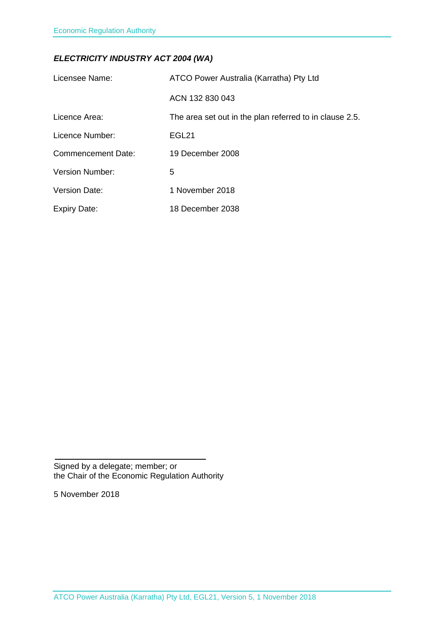### *ELECTRICITY INDUSTRY ACT 2004 (WA)*

| Licensee Name:            | ATCO Power Australia (Karratha) Pty Ltd                 |
|---------------------------|---------------------------------------------------------|
|                           | ACN 132 830 043                                         |
| Licence Area:             | The area set out in the plan referred to in clause 2.5. |
| Licence Number:           | EGL <sub>21</sub>                                       |
| <b>Commencement Date:</b> | 19 December 2008                                        |
| Version Number:           | 5                                                       |
| <b>Version Date:</b>      | 1 November 2018                                         |
| <b>Expiry Date:</b>       | 18 December 2038                                        |

Signed by a delegate; member; or the Chair of the Economic Regulation Authority

5 November 2018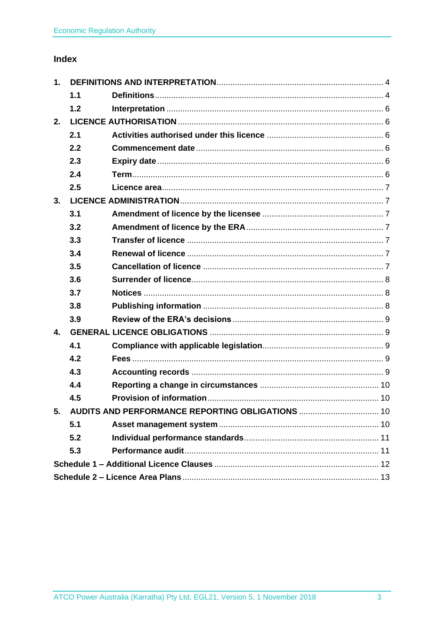## Index

| 1.           |     |                                                     |  |
|--------------|-----|-----------------------------------------------------|--|
|              | 1.1 |                                                     |  |
|              | 1.2 |                                                     |  |
| 2.           |     |                                                     |  |
|              | 2.1 |                                                     |  |
|              | 2.2 |                                                     |  |
|              | 2.3 |                                                     |  |
|              | 2.4 |                                                     |  |
|              | 2.5 |                                                     |  |
| 3.           |     |                                                     |  |
|              | 3.1 |                                                     |  |
|              | 3.2 |                                                     |  |
|              | 3.3 |                                                     |  |
|              | 3.4 |                                                     |  |
|              | 3.5 |                                                     |  |
|              | 3.6 |                                                     |  |
|              | 3.7 |                                                     |  |
|              | 3.8 |                                                     |  |
|              | 3.9 |                                                     |  |
| $\mathbf{4}$ |     |                                                     |  |
|              | 4.1 |                                                     |  |
|              | 4.2 |                                                     |  |
|              | 4.3 |                                                     |  |
|              | 4.4 |                                                     |  |
|              | 4.5 |                                                     |  |
|              |     | 5. AUDITS AND PERFORMANCE REPORTING OBLIGATIONS  10 |  |
|              | 5.1 |                                                     |  |
|              | 5.2 |                                                     |  |
|              | 5.3 |                                                     |  |
|              |     |                                                     |  |
|              |     |                                                     |  |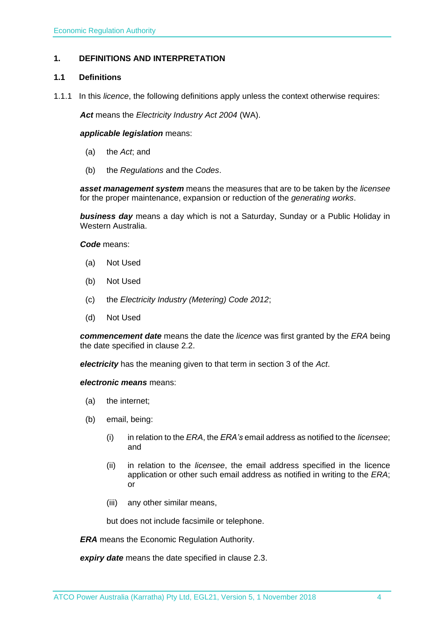#### <span id="page-3-0"></span>**1. DEFINITIONS AND INTERPRETATION**

#### <span id="page-3-1"></span>**1.1 Definitions**

1.1.1 In this *licence*, the following definitions apply unless the context otherwise requires:

*Act* means the *Electricity Industry Act 2004* (WA).

#### *applicable legislation* means:

- (a) the *Act*; and
- (b) the *Regulations* and the *Codes*.

*asset management system* means the measures that are to be taken by the *licensee* for the proper maintenance, expansion or reduction of the *generating works*.

*business day* means a day which is not a Saturday, Sunday or a Public Holiday in Western Australia.

*Code* means:

- (a) Not Used
- (b) Not Used
- (c) the *Electricity Industry (Metering) Code 2012*;
- (d) Not Used

*commencement date* means the date the *licence* was first granted by the *ERA* being the date specified in clause 2.2.

*electricity* has the meaning given to that term in section 3 of the *Act*.

*electronic means* means:

- (a) the internet;
- (b) email, being:
	- (i) in relation to the *ERA*, the *ERA's* email address as notified to the *licensee*; and
	- (ii) in relation to the *licensee*, the email address specified in the licence application or other such email address as notified in writing to the *ERA*; or
	- (iii) any other similar means,

but does not include facsimile or telephone.

*ERA* means the Economic Regulation Authority.

*expiry date* means the date specified in clause 2.3.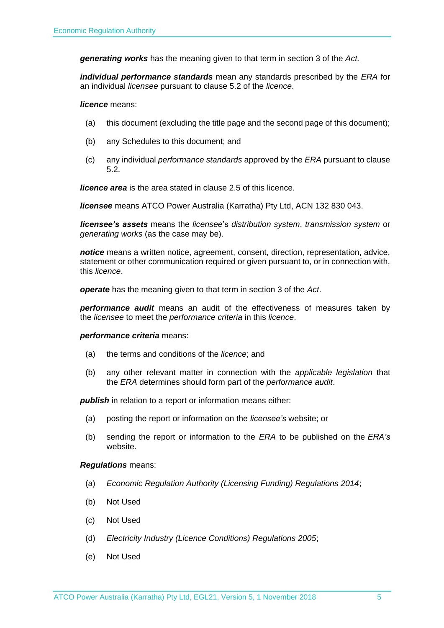*generating works* has the meaning given to that term in section 3 of the *Act.*

*individual performance standards* mean any standards prescribed by the *ERA* for an individual *licensee* pursuant to clause 5.2 of the *licence*.

*licence* means:

- (a) this document (excluding the title page and the second page of this document);
- (b) any Schedules to this document; and
- (c) any individual *performance standards* approved by the *ERA* pursuant to clause 5.2.

*licence area* is the area stated in clause 2.5 of this licence.

*licensee* means ATCO Power Australia (Karratha) Pty Ltd, ACN 132 830 043.

*licensee's assets* means the *licensee*'s *distribution system*, *transmission system* or *generating works* (as the case may be).

*notice* means a written notice, agreement, consent, direction, representation, advice, statement or other communication required or given pursuant to, or in connection with, this *licence*.

*operate* has the meaning given to that term in section 3 of the *Act*.

*performance audit* means an audit of the effectiveness of measures taken by the *licensee* to meet the *performance criteria* in this *licence*.

#### *performance criteria* means:

- (a) the terms and conditions of the *licence*; and
- (b) any other relevant matter in connection with the *applicable legislation* that the *ERA* determines should form part of the *performance audit*.

**publish** in relation to a report or information means either:

- (a) posting the report or information on the *licensee's* website; or
- (b) sending the report or information to the *ERA* to be published on the *ERA's* website.

#### *Regulations* means:

- (a) *Economic Regulation Authority (Licensing Funding) Regulations 2014*;
- (b) Not Used
- (c) Not Used
- (d) *Electricity Industry (Licence Conditions) Regulations 2005*;
- (e) Not Used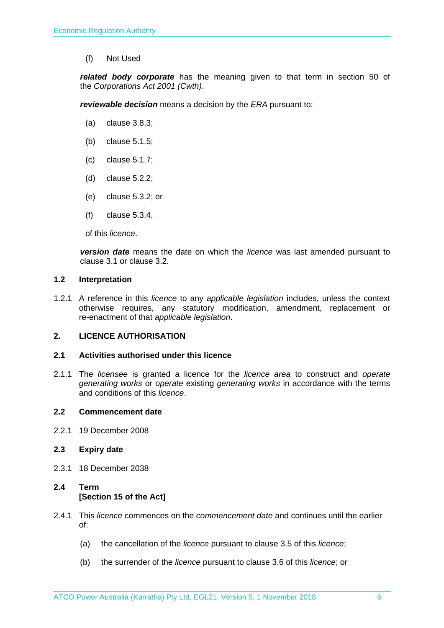(f) Not Used

*related body corporate* has the meaning given to that term in section 50 of the *Corporations Act 2001 (Cwth)*.

*reviewable decision* means a decision by the *ERA* pursuant to:

- (a) clause 3.8.3;
- (b) clause 5.1.5;
- (c) clause 5.1.7;
- (d) clause 5.2.2;
- (e) clause 5.3.2; or
- (f) clause 5.3.4,

of this *licence*.

*version date* means the date on which the *licence* was last amended pursuant to clause 3.1 or clause 3.2.

#### <span id="page-5-0"></span>**1.2 Interpretation**

1.2.1 A reference in this *licence* to any *applicable legislation* includes, unless the context otherwise requires, any statutory modification, amendment, replacement or re-enactment of that *applicable legislation*.

#### <span id="page-5-1"></span>**2. LICENCE AUTHORISATION**

#### <span id="page-5-2"></span>**2.1 Activities authorised under this licence**

2.1.1 The *licensee* is granted a licence for the *licence area* to construct and *operate generating works* or *operate* existing *generating works* in accordance with the terms and conditions of this *licence*.

#### <span id="page-5-3"></span>**2.2 Commencement date**

2.2.1 19 December 2008

#### <span id="page-5-4"></span>**2.3 Expiry date**

2.3.1 18 December 2038

### <span id="page-5-5"></span>**2.4 Term [Section 15 of the Act]**

- 2.4.1 This *licence* commences on the *commencement date* and continues until the earlier of:
	- (a) the cancellation of the *licence* pursuant to clause 3.5 of this *licence*;
	- (b) the surrender of the *licence* pursuant to clause 3.6 of this *licence*; or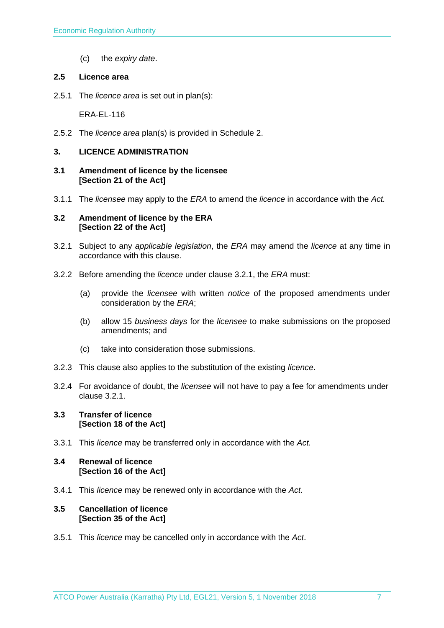(c) the *expiry date*.

#### <span id="page-6-0"></span>**2.5 Licence area**

2.5.1 The *licence area* is set out in plan(s):

ERA-EL-116

2.5.2 The *licence area* plan(s) is provided in Schedule 2.

#### <span id="page-6-1"></span>**3. LICENCE ADMINISTRATION**

- <span id="page-6-2"></span>**3.1 Amendment of licence by the licensee [Section 21 of the Act]**
- 3.1.1 The *licensee* may apply to the *ERA* to amend the *licence* in accordance with the *Act.*

#### <span id="page-6-3"></span>**3.2 Amendment of licence by the ERA [Section 22 of the Act]**

- 3.2.1 Subject to any *applicable legislation*, the *ERA* may amend the *licence* at any time in accordance with this clause.
- 3.2.2 Before amending the *licence* under clause 3.2.1, the *ERA* must:
	- (a) provide the *licensee* with written *notice* of the proposed amendments under consideration by the *ERA*;
	- (b) allow 15 *business days* for the *licensee* to make submissions on the proposed amendments; and
	- (c) take into consideration those submissions.
- 3.2.3 This clause also applies to the substitution of the existing *licence*.
- 3.2.4 For avoidance of doubt, the *licensee* will not have to pay a fee for amendments under clause 3.2.1.

#### <span id="page-6-4"></span>**3.3 Transfer of licence [Section 18 of the Act]**

3.3.1 This *licence* may be transferred only in accordance with the *Act.*

#### <span id="page-6-5"></span>**3.4 Renewal of licence [Section 16 of the Act]**

3.4.1 This *licence* may be renewed only in accordance with the *Act*.

#### <span id="page-6-6"></span>**3.5 Cancellation of licence [Section 35 of the Act]**

3.5.1 This *licence* may be cancelled only in accordance with the *Act*.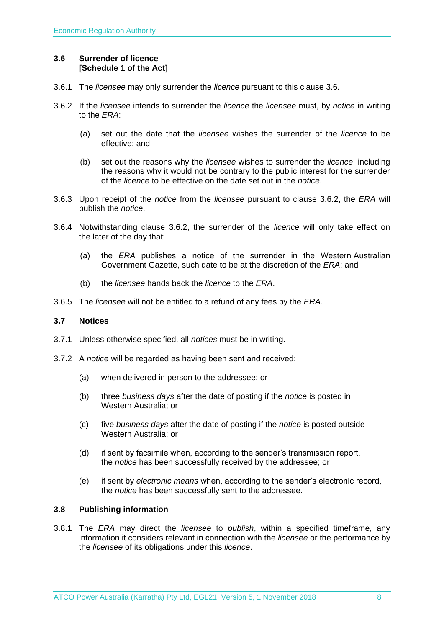#### <span id="page-7-0"></span>**3.6 Surrender of licence [Schedule 1 of the Act]**

- 3.6.1 The *licensee* may only surrender the *licence* pursuant to this clause 3.6.
- 3.6.2 If the *licensee* intends to surrender the *licence* the *licensee* must, by *notice* in writing to the *ERA*:
	- (a) set out the date that the *licensee* wishes the surrender of the *licence* to be effective; and
	- (b) set out the reasons why the *licensee* wishes to surrender the *licence*, including the reasons why it would not be contrary to the public interest for the surrender of the *licence* to be effective on the date set out in the *notice*.
- 3.6.3 Upon receipt of the *notice* from the *licensee* pursuant to clause 3.6.2, the *ERA* will publish the *notice*.
- 3.6.4 Notwithstanding clause 3.6.2, the surrender of the *licence* will only take effect on the later of the day that:
	- (a) the *ERA* publishes a notice of the surrender in the Western Australian Government Gazette, such date to be at the discretion of the *ERA*; and
	- (b) the *licensee* hands back the *licence* to the *ERA*.
- 3.6.5 The *licensee* will not be entitled to a refund of any fees by the *ERA*.

#### <span id="page-7-1"></span>**3.7 Notices**

- 3.7.1 Unless otherwise specified, all *notices* must be in writing.
- 3.7.2 A *notice* will be regarded as having been sent and received:
	- (a) when delivered in person to the addressee; or
	- (b) three *business days* after the date of posting if the *notice* is posted in Western Australia; or
	- (c) five *business days* after the date of posting if the *notice* is posted outside Western Australia; or
	- (d) if sent by facsimile when, according to the sender's transmission report, the *notice* has been successfully received by the addressee; or
	- (e) if sent by *electronic means* when, according to the sender's electronic record, the *notice* has been successfully sent to the addressee.

#### <span id="page-7-2"></span>**3.8 Publishing information**

3.8.1 The *ERA* may direct the *licensee* to *publish*, within a specified timeframe, any information it considers relevant in connection with the *licensee* or the performance by the *licensee* of its obligations under this *licence*.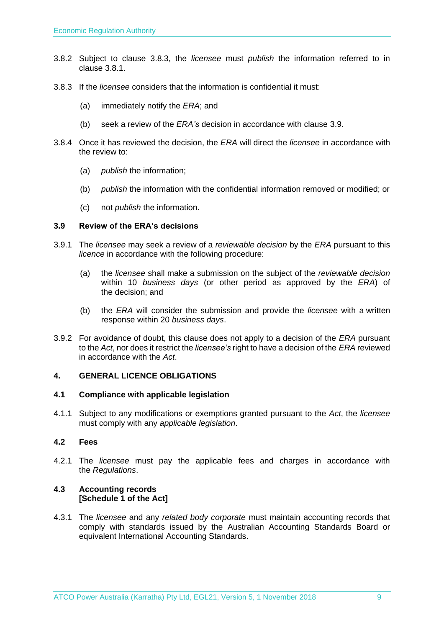- 3.8.2 Subject to clause 3.8.3, the *licensee* must *publish* the information referred to in clause 3.8.1.
- 3.8.3 If the *licensee* considers that the information is confidential it must:
	- (a) immediately notify the *ERA*; and
	- (b) seek a review of the *ERA's* decision in accordance with clause 3.9.
- 3.8.4 Once it has reviewed the decision, the *ERA* will direct the *licensee* in accordance with the review to:
	- (a) *publish* the information;
	- (b) *publish* the information with the confidential information removed or modified; or
	- (c) not *publish* the information.

#### <span id="page-8-0"></span>**3.9 Review of the ERA's decisions**

- 3.9.1 The *licensee* may seek a review of a *reviewable decision* by the *ERA* pursuant to this *licence* in accordance with the following procedure:
	- (a) the *licensee* shall make a submission on the subject of the *reviewable decision* within 10 *business days* (or other period as approved by the *ERA*) of the decision; and
	- (b) the *ERA* will consider the submission and provide the *licensee* with a written response within 20 *business days*.
- 3.9.2 For avoidance of doubt, this clause does not apply to a decision of the *ERA* pursuant to the *Act*, nor does it restrict the *licensee's* right to have a decision of the *ERA* reviewed in accordance with the *Act*.

#### <span id="page-8-1"></span>**4. GENERAL LICENCE OBLIGATIONS**

#### <span id="page-8-2"></span>**4.1 Compliance with applicable legislation**

4.1.1 Subject to any modifications or exemptions granted pursuant to the *Act*, the *licensee* must comply with any *applicable legislation*.

#### <span id="page-8-3"></span>**4.2 Fees**

4.2.1 The *licensee* must pay the applicable fees and charges in accordance with the *Regulations*.

#### <span id="page-8-4"></span>**4.3 Accounting records [Schedule 1 of the Act]**

4.3.1 The *licensee* and any *related body corporate* must maintain accounting records that comply with standards issued by the Australian Accounting Standards Board or equivalent International Accounting Standards.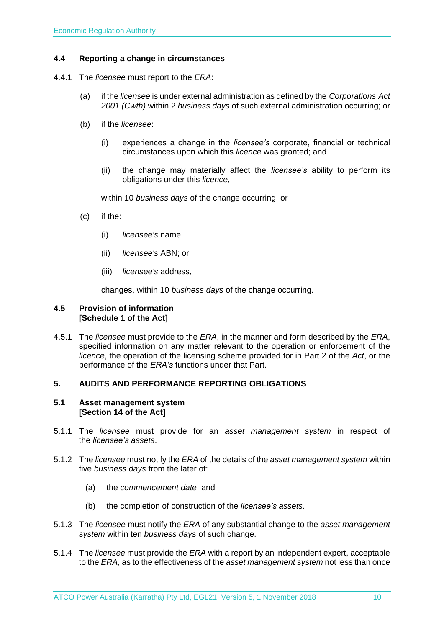#### <span id="page-9-0"></span>**4.4 Reporting a change in circumstances**

- 4.4.1 The *licensee* must report to the *ERA*:
	- (a) if the *licensee* is under external administration as defined by the *Corporations Act 2001 (Cwth)* within 2 *business days* of such external administration occurring; or
	- (b) if the *licensee*:
		- (i) experiences a change in the *licensee's* corporate, financial or technical circumstances upon which this *licence* was granted; and
		- (ii) the change may materially affect the *licensee's* ability to perform its obligations under this *licence*,

within 10 *business days* of the change occurring; or

- (c) if the:
	- (i) *licensee's* name;
	- (ii) *licensee's* ABN; or
	- (iii) *licensee's* address,

changes, within 10 *business days* of the change occurring.

#### <span id="page-9-1"></span>**4.5 Provision of information [Schedule 1 of the Act]**

4.5.1 The *licensee* must provide to the *ERA*, in the manner and form described by the *ERA*, specified information on any matter relevant to the operation or enforcement of the *licence*, the operation of the licensing scheme provided for in Part 2 of the *Act*, or the performance of the *ERA's* functions under that Part.

### <span id="page-9-2"></span>**5. AUDITS AND PERFORMANCE REPORTING OBLIGATIONS**

#### <span id="page-9-3"></span>**5.1 Asset management system [Section 14 of the Act]**

- 5.1.1 The *licensee* must provide for an *asset management system* in respect of the *licensee's assets*.
- 5.1.2 The *licensee* must notify the *ERA* of the details of the *asset management system* within five *business days* from the later of:
	- (a) the *commencement date*; and
	- (b) the completion of construction of the *licensee's assets*.
- 5.1.3 The *licensee* must notify the *ERA* of any substantial change to the *asset management system* within ten *business days* of such change.
- 5.1.4 The *licensee* must provide the *ERA* with a report by an independent expert, acceptable to the *ERA*, as to the effectiveness of the *asset management system* not less than once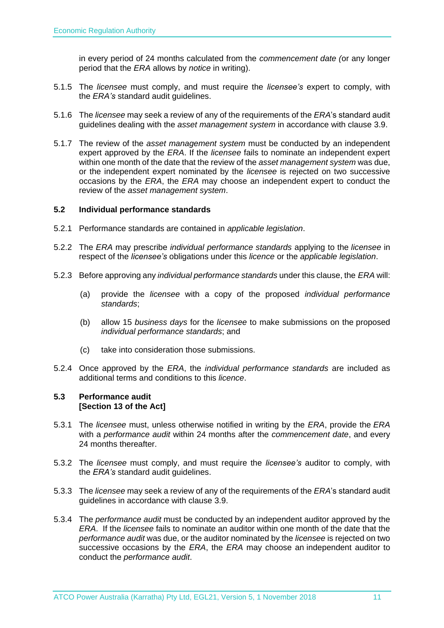in every period of 24 months calculated from the *commencement date (*or any longer period that the *ERA* allows by *notice* in writing).

- 5.1.5 The *licensee* must comply, and must require the *licensee's* expert to comply, with the *ERA's* standard audit guidelines.
- 5.1.6 The *licensee* may seek a review of any of the requirements of the *ERA*'s standard audit guidelines dealing with the *asset management system* in accordance with clause 3.9.
- 5.1.7 The review of the *asset management system* must be conducted by an independent expert approved by the *ERA*. If the *licensee* fails to nominate an independent expert within one month of the date that the review of the *asset management system* was due, or the independent expert nominated by the *licensee* is rejected on two successive occasions by the *ERA*, the *ERA* may choose an independent expert to conduct the review of the *asset management system*.

#### <span id="page-10-0"></span>**5.2 Individual performance standards**

- 5.2.1 Performance standards are contained in *applicable legislation*.
- 5.2.2 The *ERA* may prescribe *individual performance standards* applying to the *licensee* in respect of the *licensee's* obligations under this *licence* or the *applicable legislation*.
- 5.2.3 Before approving any *individual performance standards* under this clause, the *ERA* will:
	- (a) provide the *licensee* with a copy of the proposed *individual performance standards*;
	- (b) allow 15 *business days* for the *licensee* to make submissions on the proposed *individual performance standards*; and
	- (c) take into consideration those submissions.
- 5.2.4 Once approved by the *ERA*, the *individual performance standards* are included as additional terms and conditions to this *licence*.

#### <span id="page-10-1"></span>**5.3 Performance audit [Section 13 of the Act]**

- 5.3.1 The *licensee* must, unless otherwise notified in writing by the *ERA*, provide the *ERA* with a *performance audit* within 24 months after the *commencement date*, and every 24 months thereafter.
- 5.3.2 The *licensee* must comply, and must require the *licensee's* auditor to comply, with the *ERA's* standard audit guidelines.
- 5.3.3 The *licensee* may seek a review of any of the requirements of the *ERA*'s standard audit guidelines in accordance with clause 3.9.
- 5.3.4 The *performance audit* must be conducted by an independent auditor approved by the *ERA*. If the *licensee* fails to nominate an auditor within one month of the date that the *performance audit* was due, or the auditor nominated by the *licensee* is rejected on two successive occasions by the *ERA*, the *ERA* may choose an independent auditor to conduct the *performance audit*.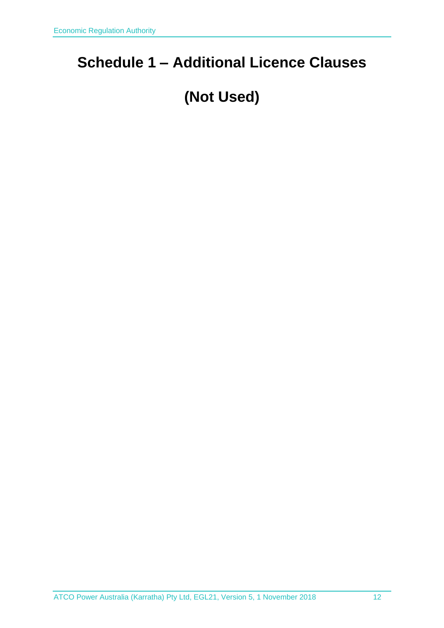# <span id="page-11-0"></span>**Schedule 1 – Additional Licence Clauses**

# **(Not Used)**

ATCO Power Australia (Karratha) Pty Ltd, EGL21, Version 5, 1 November 2018 12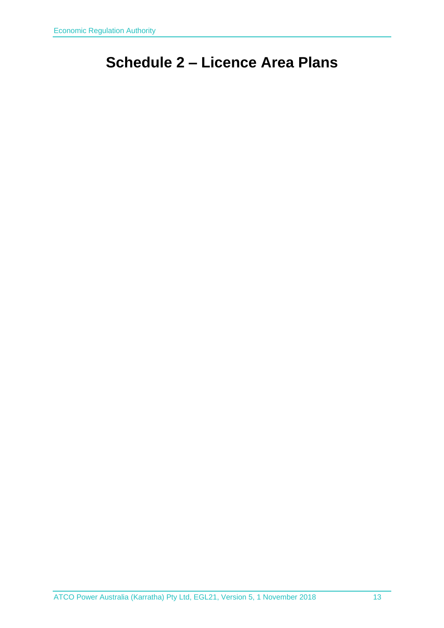# <span id="page-12-0"></span>**Schedule 2 – Licence Area Plans**